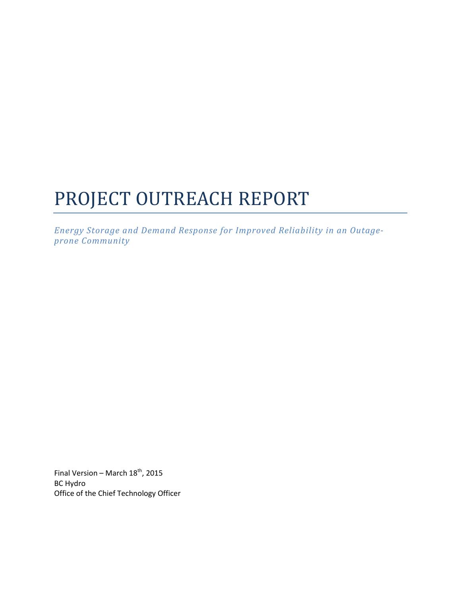# PROJECT OUTREACH REPORT

*Energy Storage and Demand Response for Improved Reliability in an Outageprone Community*

Final Version – March  $18^{th}$ , 2015 BC Hydro Office of the Chief Technology Officer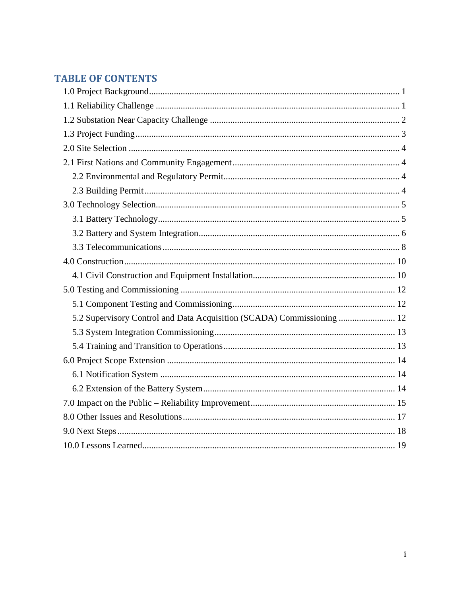# **TABLE OF CONTENTS**

| 5.2 Supervisory Control and Data Acquisition (SCADA) Commissioning  12 |
|------------------------------------------------------------------------|
|                                                                        |
|                                                                        |
|                                                                        |
|                                                                        |
|                                                                        |
|                                                                        |
|                                                                        |
|                                                                        |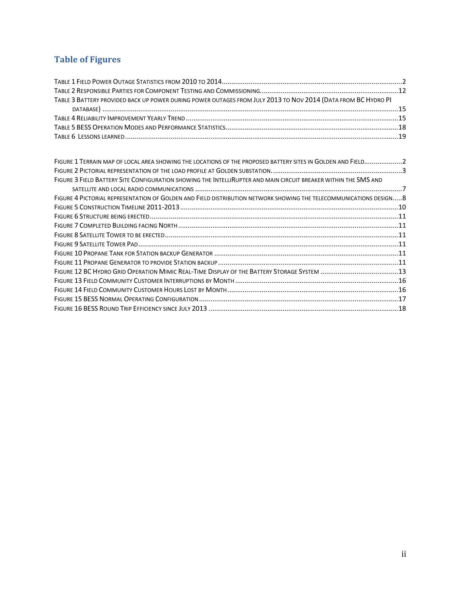# **Table of Figures**

| TABLE 3 BATTERY PROVIDED BACK UP POWER DURING POWER OUTAGES FROM JULY 2013 TO NOV 2014 (DATA FROM BC HYDRO PI |  |
|---------------------------------------------------------------------------------------------------------------|--|
|                                                                                                               |  |
|                                                                                                               |  |
|                                                                                                               |  |
|                                                                                                               |  |

| FIGURE 1 TERRAIN MAP OF LOCAL AREA SHOWING THE LOCATIONS OF THE PROPOSED BATTERY SITES IN GOLDEN AND FIELD2        |  |
|--------------------------------------------------------------------------------------------------------------------|--|
|                                                                                                                    |  |
| FIGURE 3 FIELD BATTERY SITE CONFIGURATION SHOWING THE INTELLIRUPTER AND MAIN CIRCUIT BREAKER WITHIN THE SMS AND    |  |
|                                                                                                                    |  |
| FIGURE 4 PICTORIAL REPRESENTATION OF GOLDEN AND FIELD DISTRIBUTION NETWORK SHOWING THE TELECOMMUNICATIONS DESIGN 8 |  |
|                                                                                                                    |  |
|                                                                                                                    |  |
|                                                                                                                    |  |
|                                                                                                                    |  |
|                                                                                                                    |  |
|                                                                                                                    |  |
|                                                                                                                    |  |
|                                                                                                                    |  |
|                                                                                                                    |  |
|                                                                                                                    |  |
|                                                                                                                    |  |
|                                                                                                                    |  |
|                                                                                                                    |  |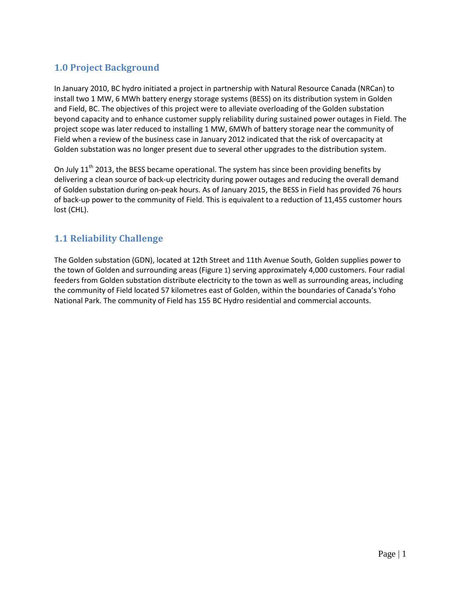## <span id="page-3-0"></span>**1.0 Project Background**

In January 2010, BC hydro initiated a project in partnership with Natural Resource Canada (NRCan) to install two 1 MW, 6 MWh battery energy storage systems (BESS) on its distribution system in Golden and Field, BC. The objectives of this project were to alleviate overloading of the Golden substation beyond capacity and to enhance customer supply reliability during sustained power outages in Field. The project scope was later reduced to installing 1 MW, 6MWh of battery storage near the community of Field when a review of the business case in January 2012 indicated that the risk of overcapacity at Golden substation was no longer present due to several other upgrades to the distribution system.

On July  $11<sup>th</sup>$  2013, the BESS became operational. The system has since been providing benefits by delivering a clean source of back-up electricity during power outages and reducing the overall demand of Golden substation during on-peak hours. As of January 2015, the BESS in Field has provided 76 hours of back-up power to the community of Field. This is equivalent to a reduction of 11,455 customer hours lost (CHL).

## <span id="page-3-1"></span>**1.1 Reliability Challenge**

The Golden substation (GDN), located at 12th Street and 11th Avenue South, Golden supplies power to the town of Golden and surrounding areas [\(Figure](#page-4-2) 1) serving approximately 4,000 customers. Four radial feeders from Golden substation distribute electricity to the town as well as surrounding areas, including the community of Field located 57 kilometres east of Golden, within the boundaries of Canada's Yoho National Park. The community of Field has 155 BC Hydro residential and commercial accounts.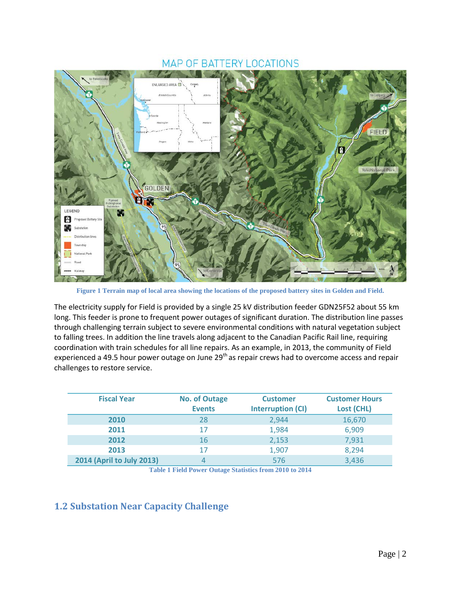## **MAP OF BATTERY LOCATIONS**



**Figure 1 Terrain map of local area showing the locations of the proposed battery sites in Golden and Field.**

<span id="page-4-2"></span>The electricity supply for Field is provided by a single 25 kV distribution feeder GDN25F52 about 55 km long. This feeder is prone to frequent power outages of significant duration. The distribution line passes through challenging terrain subject to severe environmental conditions with natural vegetation subject to falling trees. In addition the line travels along adjacent to the Canadian Pacific Rail line, requiring coordination with train schedules for all line repairs. As an example, in 2013, the community of Field experienced a 49.5 hour power outage on June 29<sup>th</sup> as repair crews had to overcome access and repair challenges to restore service.

| <b>Fiscal Year</b>        | <b>No. of Outage</b><br><b>Events</b> | <b>Customer</b><br><b>Interruption (CI)</b> | <b>Customer Hours</b><br><b>Lost (CHL)</b> |
|---------------------------|---------------------------------------|---------------------------------------------|--------------------------------------------|
| 2010                      | 28                                    | 2,944                                       | 16,670                                     |
| 2011                      | 17                                    | 1,984                                       | 6,909                                      |
| 2012                      | 16                                    | 2,153                                       | 7,931                                      |
| 2013                      | 17                                    | 1,907                                       | 8,294                                      |
| 2014 (April to July 2013) |                                       | 576                                         | 3,436                                      |

**Table 1 Field Power Outage Statistics from 2010 to 2014**

## <span id="page-4-1"></span><span id="page-4-0"></span>**1.2 Substation Near Capacity Challenge**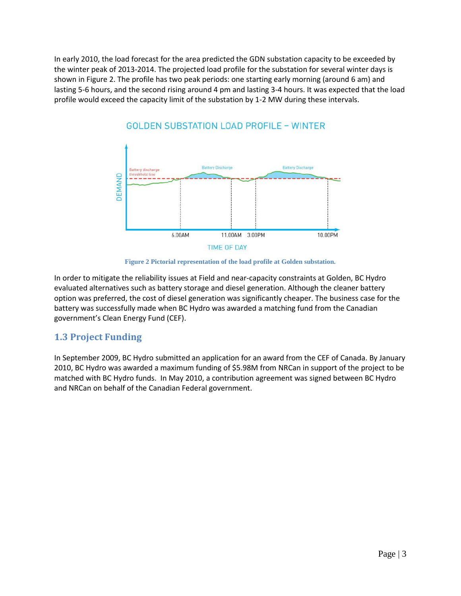In early 2010, the load forecast for the area predicted the GDN substation capacity to be exceeded by the winter peak of 2013-2014. The projected load profile for the substation for several winter days is shown in [Figure 2.](#page-5-1) The profile has two peak periods: one starting early morning (around 6 am) and lasting 5-6 hours, and the second rising around 4 pm and lasting 3-4 hours. It was expected that the load profile would exceed the capacity limit of the substation by 1-2 MW during these intervals.



# GOLDEN SUBSTATION LOAD PROFILE - WINTER

**Figure 2 Pictorial representation of the load profile at Golden substation.**

<span id="page-5-1"></span>In order to mitigate the reliability issues at Field and near-capacity constraints at Golden, BC Hydro evaluated alternatives such as battery storage and diesel generation. Although the cleaner battery option was preferred, the cost of diesel generation was significantly cheaper. The business case for the battery was successfully made when BC Hydro was awarded a matching fund from the Canadian government's Clean Energy Fund (CEF).

## <span id="page-5-0"></span>**1.3 Project Funding**

In September 2009, BC Hydro submitted an application for an award from the CEF of Canada. By January 2010, BC Hydro was awarded a maximum funding of \$5.98M from NRCan in support of the project to be matched with BC Hydro funds. In May 2010, a contribution agreement was signed between BC Hydro and NRCan on behalf of the Canadian Federal government.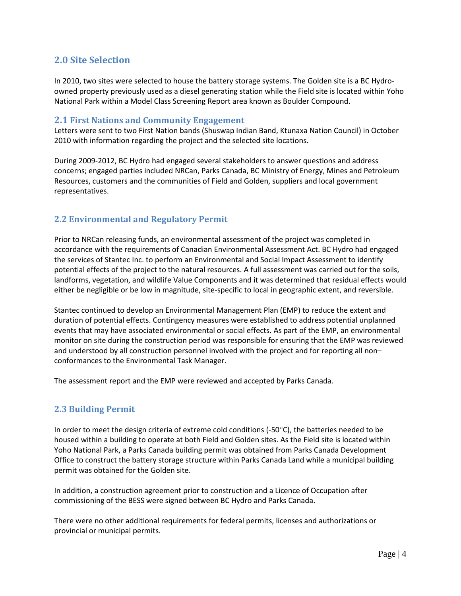## <span id="page-6-0"></span>**2.0 Site Selection**

In 2010, two sites were selected to house the battery storage systems. The Golden site is a BC Hydroowned property previously used as a diesel generating station while the Field site is located within Yoho National Park within a Model Class Screening Report area known as Boulder Compound.

#### <span id="page-6-1"></span>**2.1 First Nations and Community Engagement**

Letters were sent to two First Nation bands (Shuswap Indian Band, Ktunaxa Nation Council) in October 2010 with information regarding the project and the selected site locations.

During 2009-2012, BC Hydro had engaged several stakeholders to answer questions and address concerns; engaged parties included NRCan, Parks Canada, BC Ministry of Energy, Mines and Petroleum Resources, customers and the communities of Field and Golden, suppliers and local government representatives.

## <span id="page-6-2"></span>**2.2 Environmental and Regulatory Permit**

Prior to NRCan releasing funds, an environmental assessment of the project was completed in accordance with the requirements of Canadian Environmental Assessment Act. BC Hydro had engaged the services of Stantec Inc. to perform an Environmental and Social Impact Assessment to identify potential effects of the project to the natural resources. A full assessment was carried out for the soils, landforms, vegetation, and wildlife Value Components and it was determined that residual effects would either be negligible or be low in magnitude, site-specific to local in geographic extent, and reversible.

Stantec continued to develop an Environmental Management Plan (EMP) to reduce the extent and duration of potential effects. Contingency measures were established to address potential unplanned events that may have associated environmental or social effects. As part of the EMP, an environmental monitor on site during the construction period was responsible for ensuring that the EMP was reviewed and understood by all construction personnel involved with the project and for reporting all non– conformances to the Environmental Task Manager.

The assessment report and the EMP were reviewed and accepted by Parks Canada.

#### <span id="page-6-3"></span>**2.3 Building Permit**

In order to meet the design criteria of extreme cold conditions (-50 $^{\circ}$ C), the batteries needed to be housed within a building to operate at both Field and Golden sites. As the Field site is located within Yoho National Park, a Parks Canada building permit was obtained from Parks Canada Development Office to construct the battery storage structure within Parks Canada Land while a municipal building permit was obtained for the Golden site.

In addition, a construction agreement prior to construction and a Licence of Occupation after commissioning of the BESS were signed between BC Hydro and Parks Canada.

There were no other additional requirements for federal permits, licenses and authorizations or provincial or municipal permits.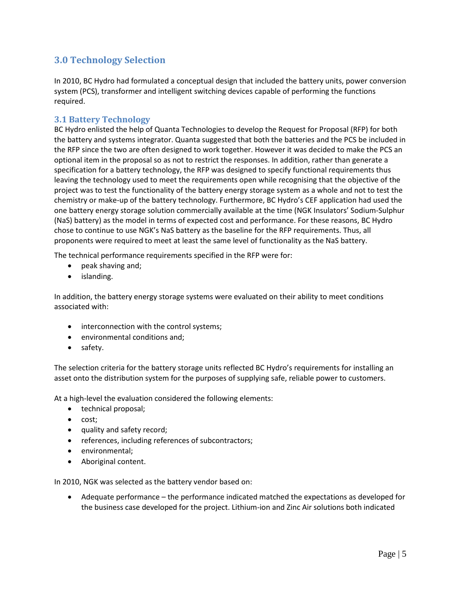## <span id="page-7-0"></span>**3.0 Technology Selection**

In 2010, BC Hydro had formulated a conceptual design that included the battery units, power conversion system (PCS), transformer and intelligent switching devices capable of performing the functions required.

#### <span id="page-7-1"></span>**3.1 Battery Technology**

BC Hydro enlisted the help of Quanta Technologies to develop the Request for Proposal (RFP) for both the battery and systems integrator. Quanta suggested that both the batteries and the PCS be included in the RFP since the two are often designed to work together. However it was decided to make the PCS an optional item in the proposal so as not to restrict the responses. In addition, rather than generate a specification for a battery technology, the RFP was designed to specify functional requirements thus leaving the technology used to meet the requirements open while recognising that the objective of the project was to test the functionality of the battery energy storage system as a whole and not to test the chemistry or make-up of the battery technology. Furthermore, BC Hydro's CEF application had used the one battery energy storage solution commercially available at the time (NGK Insulators' Sodium-Sulphur (NaS) battery) as the model in terms of expected cost and performance. For these reasons, BC Hydro chose to continue to use NGK's NaS battery as the baseline for the RFP requirements. Thus, all proponents were required to meet at least the same level of functionality as the NaS battery.

The technical performance requirements specified in the RFP were for:

- peak shaving and;
- islanding.

In addition, the battery energy storage systems were evaluated on their ability to meet conditions associated with:

- interconnection with the control systems;
- environmental conditions and;
- safety.

The selection criteria for the battery storage units reflected BC Hydro's requirements for installing an asset onto the distribution system for the purposes of supplying safe, reliable power to customers.

At a high-level the evaluation considered the following elements:

- technical proposal;
- cost;
- quality and safety record;
- references, including references of subcontractors;
- environmental;
- Aboriginal content.

In 2010, NGK was selected as the battery vendor based on:

• Adequate performance – the performance indicated matched the expectations as developed for the business case developed for the project. Lithium-ion and Zinc Air solutions both indicated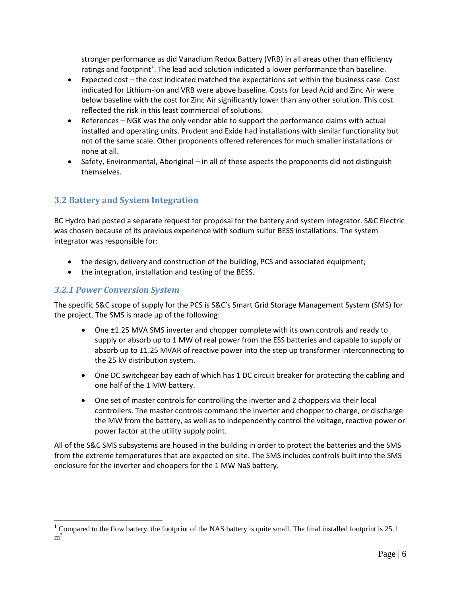stronger performance as did Vanadium Redox Battery (VRB) in all areas other than efficiency ratings and footprint<sup>[1](#page-8-1)</sup>. The lead acid solution indicated a lower performance than baseline.

- Expected cost the cost indicated matched the expectations set within the business case. Cost indicated for Lithium-ion and VRB were above baseline. Costs for Lead Acid and Zinc Air were below baseline with the cost for Zinc Air significantly lower than any other solution. This cost reflected the risk in this least commercial of solutions.
- References NGK was the only vendor able to support the performance claims with actual installed and operating units. Prudent and Exide had installations with similar functionality but not of the same scale. Other proponents offered references for much smaller installations or none at all.
- Safety, Environmental, Aboriginal in all of these aspects the proponents did not distinguish themselves.

## <span id="page-8-0"></span>**3.2 Battery and System Integration**

BC Hydro had posted a separate request for proposal for the battery and system integrator. S&C Electric was chosen because of its previous experience with sodium sulfur BESS installations. The system integrator was responsible for:

- the design, delivery and construction of the building, PCS and associated equipment;
- the integration, installation and testing of the BESS.

## *3.2.1 Power Conversion System*

The specific S&C scope of supply for the PCS is S&C's Smart Grid Storage Management System (SMS) for the project. The SMS is made up of the following:

- One ±1.25 MVA SMS inverter and chopper complete with its own controls and ready to supply or absorb up to 1 MW of real power from the ESS batteries and capable to supply or absorb up to ±1.25 MVAR of reactive power into the step up transformer interconnecting to the 25 kV distribution system.
- One DC switchgear bay each of which has 1 DC circuit breaker for protecting the cabling and one half of the 1 MW battery.
- One set of master controls for controlling the inverter and 2 choppers via their local controllers. The master controls command the inverter and chopper to charge, or discharge the MW from the battery, as well as to independently control the voltage, reactive power or power factor at the utility supply point.

All of the S&C SMS subsystems are housed in the building in order to protect the batteries and the SMS from the extreme temperatures that are expected on site. The SMS includes controls built into the SMS enclosure for the inverter and choppers for the 1 MW NaS battery.

<span id="page-8-1"></span> $1$  Compared to the flow battery, the footprint of the NAS battery is quite small. The final installed footprint is 25.1  $m^2$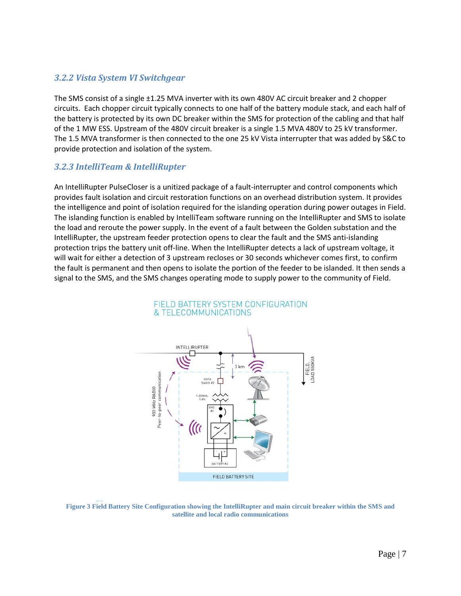#### *3.2.2 Vista System VI Switchgear*

The SMS consist of a single ±1.25 MVA inverter with its own 480V AC circuit breaker and 2 chopper circuits. Each chopper circuit typically connects to one half of the battery module stack, and each half of the battery is protected by its own DC breaker within the SMS for protection of the cabling and that half of the 1 MW ESS. Upstream of the 480V circuit breaker is a single 1.5 MVA 480V to 25 kV transformer. The 1.5 MVA transformer is then connected to the one 25 kV Vista interrupter that was added by S&C to provide protection and isolation of the system.

## *3.2.3 IntelliTeam & IntelliRupter*

An IntelliRupter PulseCloser is a unitized package of a fault-interrupter and control components which provides fault isolation and circuit restoration functions on an overhead distribution system. It provides the intelligence and point of isolation required for the islanding operation during power outages in Field. The islanding function is enabled by IntelliTeam software running on the IntelliRupter and SMS to isolate the load and reroute the power supply. In the event of a fault between the Golden substation and the IntelliRupter, the upstream feeder protection opens to clear the fault and the SMS anti-islanding protection trips the battery unit off-line. When the IntelliRupter detects a lack of upstream voltage, it will wait for either a detection of 3 upstream recloses or 30 seconds whichever comes first, to confirm the fault is permanent and then opens to isolate the portion of the feeder to be islanded. It then sends a signal to the SMS, and the SMS changes operating mode to supply power to the community of Field.



<span id="page-9-0"></span>**Figure 3 Field Battery Site Configuration showing the IntelliRupter and main circuit breaker within the SMS and satellite and local radio communications**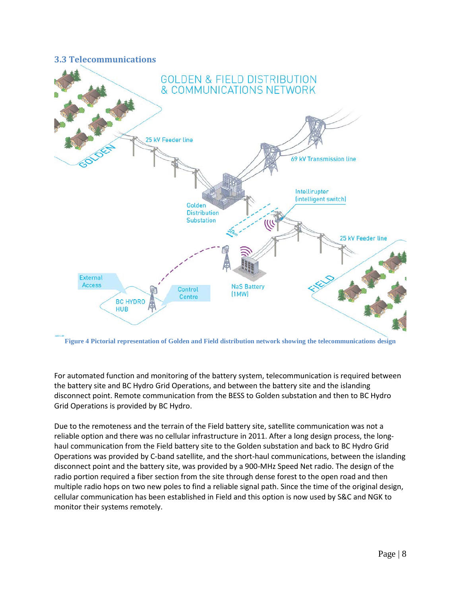#### <span id="page-10-0"></span>**3.3 Telecommunications**



<span id="page-10-1"></span>**Figure 4 Pictorial representation of Golden and Field distribution network showing the telecommunications design**

For automated function and monitoring of the battery system, telecommunication is required between the battery site and BC Hydro Grid Operations, and between the battery site and the islanding disconnect point. Remote communication from the BESS to Golden substation and then to BC Hydro Grid Operations is provided by BC Hydro.

Due to the remoteness and the terrain of the Field battery site, satellite communication was not a reliable option and there was no cellular infrastructure in 2011. After a long design process, the longhaul communication from the Field battery site to the Golden substation and back to BC Hydro Grid Operations was provided by C-band satellite, and the short-haul communications, between the islanding disconnect point and the battery site, was provided by a 900-MHz Speed Net radio. The design of the radio portion required a fiber section from the site through dense forest to the open road and then multiple radio hops on two new poles to find a reliable signal path. Since the time of the original design, cellular communication has been established in Field and this option is now used by S&C and NGK to monitor their systems remotely.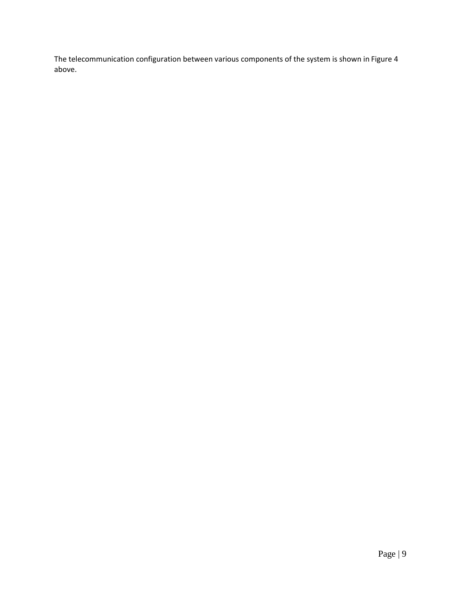The telecommunication configuration between various components of the system is shown in [Figure](#page-9-0) 4 above.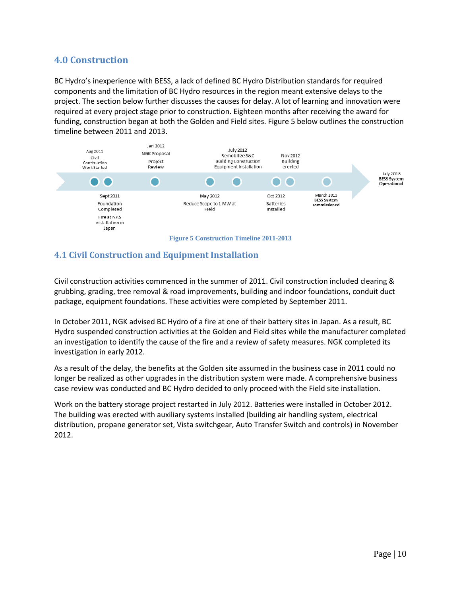## <span id="page-12-0"></span>**4.0 Construction**

BC Hydro's inexperience with BESS, a lack of defined BC Hydro Distribution standards for required components and the limitation of BC Hydro resources in the region meant extensive delays to the project. The section below further discusses the causes for delay. A lot of learning and innovation were required at every project stage prior to construction. Eighteen months after receiving the award for funding, construction began at both the Golden and Field sites. Figure 5 below outlines the construction timeline between 2011 and 2013.



## <span id="page-12-2"></span><span id="page-12-1"></span>**4.1 Civil Construction and Equipment Installation**

Civil construction activities commenced in the summer of 2011. Civil construction included clearing & grubbing, grading, tree removal & road improvements, building and indoor foundations, conduit duct package, equipment foundations. These activities were completed by September 2011.

In October 2011, NGK advised BC Hydro of a fire at one of their battery sites in Japan. As a result, BC Hydro suspended construction activities at the Golden and Field sites while the manufacturer completed an investigation to identify the cause of the fire and a review of safety measures. NGK completed its investigation in early 2012.

As a result of the delay, the benefits at the Golden site assumed in the business case in 2011 could no longer be realized as other upgrades in the distribution system were made. A comprehensive business case review was conducted and BC Hydro decided to only proceed with the Field site installation.

Work on the battery storage project restarted in July 2012. Batteries were installed in October 2012. The building was erected with auxiliary systems installed (building air handling system, electrical distribution, propane generator set, Vista switchgear, Auto Transfer Switch and controls) in November 2012.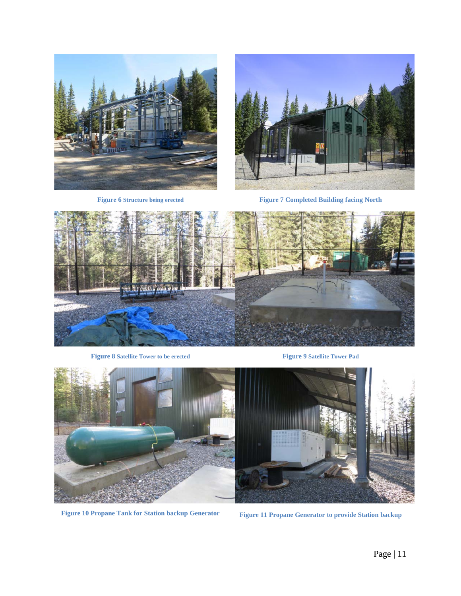



**Figure 6 Structure being erected Figure 7 Completed Building facing North**

<span id="page-13-1"></span><span id="page-13-0"></span>

**Figure 8 Satellite Tower to be erected Figure 9 Satellite Tower Pad**

<span id="page-13-3"></span><span id="page-13-2"></span>

<span id="page-13-5"></span><span id="page-13-4"></span>**Figure 10 Propane Tank for Station backup Generator Figure 11 Propane Generator to provide Station backup**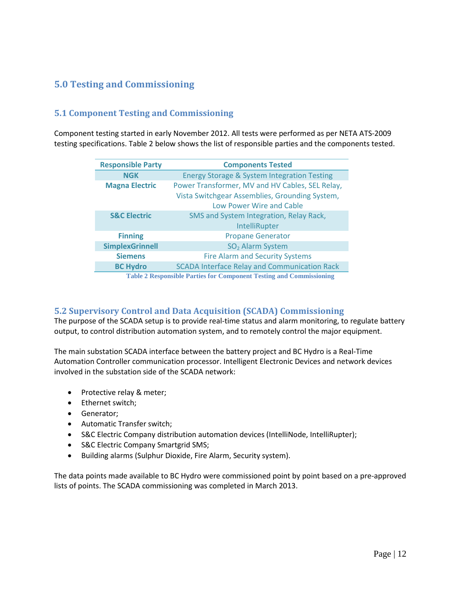## <span id="page-14-0"></span>**5.0 Testing and Commissioning**

## <span id="page-14-1"></span>**5.1 Component Testing and Commissioning**

Component testing started in early November 2012. All tests were performed as per NETA ATS-2009 testing specifications. Table 2 below shows the list of responsible parties and the components tested.

| <b>Responsible Party</b> | <b>Components Tested</b>                                            |
|--------------------------|---------------------------------------------------------------------|
| <b>NGK</b>               | <b>Energy Storage &amp; System Integration Testing</b>              |
| <b>Magna Electric</b>    | Power Transformer, MV and HV Cables, SEL Relay,                     |
|                          | Vista Switchgear Assemblies, Grounding System,                      |
|                          | Low Power Wire and Cable                                            |
| <b>S&amp;C Electric</b>  | SMS and System Integration, Relay Rack,                             |
|                          | <b>IntelliRupter</b>                                                |
| <b>Finning</b>           | <b>Propane Generator</b>                                            |
| <b>SimplexGrinnell</b>   | SO <sub>2</sub> Alarm System                                        |
| <b>Siemens</b>           | <b>Fire Alarm and Security Systems</b>                              |
| <b>BC Hydro</b>          | <b>SCADA Interface Relay and Communication Rack</b>                 |
|                          | Table 2 Responsible Parties for Component Testing and Commissioning |

**Table Parties for Component Testing and Comm** 

## <span id="page-14-3"></span><span id="page-14-2"></span>**5.2 Supervisory Control and Data Acquisition (SCADA) Commissioning**

The purpose of the SCADA setup is to provide real-time status and alarm monitoring, to regulate battery output, to control distribution automation system, and to remotely control the major equipment.

The main substation SCADA interface between the battery project and BC Hydro is a Real-Time Automation Controller communication processor. Intelligent Electronic Devices and network devices involved in the substation side of the SCADA network:

- Protective relay & meter;
- Ethernet switch;
- Generator;
- Automatic Transfer switch;
- S&C Electric Company distribution automation devices (IntelliNode, IntelliRupter);
- S&C Electric Company Smartgrid SMS;
- Building alarms (Sulphur Dioxide, Fire Alarm, Security system).

The data points made available to BC Hydro were commissioned point by point based on a pre-approved lists of points. The SCADA commissioning was completed in March 2013.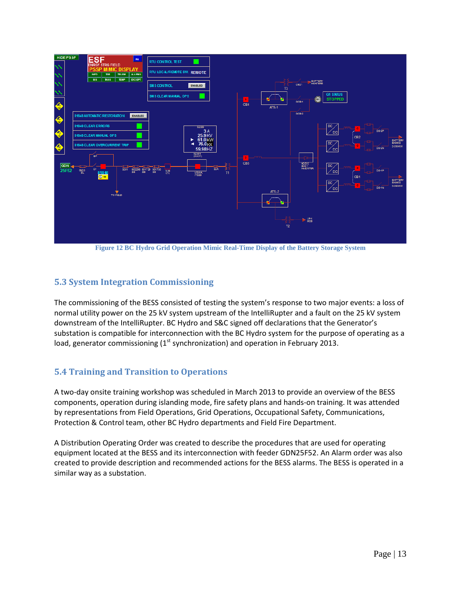

**Figure 12 BC Hydro Grid Operation Mimic Real-Time Display of the Battery Storage System**

## <span id="page-15-2"></span><span id="page-15-0"></span>**5.3 System Integration Commissioning**

The commissioning of the BESS consisted of testing the system's response to two major events: a loss of normal utility power on the 25 kV system upstream of the IntelliRupter and a fault on the 25 kV system downstream of the IntelliRupter. BC Hydro and S&C signed off declarations that the Generator's substation is compatible for interconnection with the BC Hydro system for the purpose of operating as a load, generator commissioning  $(1<sup>st</sup>$  synchronization) and operation in February 2013.

## <span id="page-15-1"></span>**5.4 Training and Transition to Operations**

A two-day onsite training workshop was scheduled in March 2013 to provide an overview of the BESS components, operation during islanding mode, fire safety plans and hands-on training. It was attended by representations from Field Operations, Grid Operations, Occupational Safety, Communications, Protection & Control team, other BC Hydro departments and Field Fire Department.

A Distribution Operating Order was created to describe the procedures that are used for operating equipment located at the BESS and its interconnection with feeder GDN25F52. An Alarm order was also created to provide description and recommended actions for the BESS alarms. The BESS is operated in a similar way as a substation.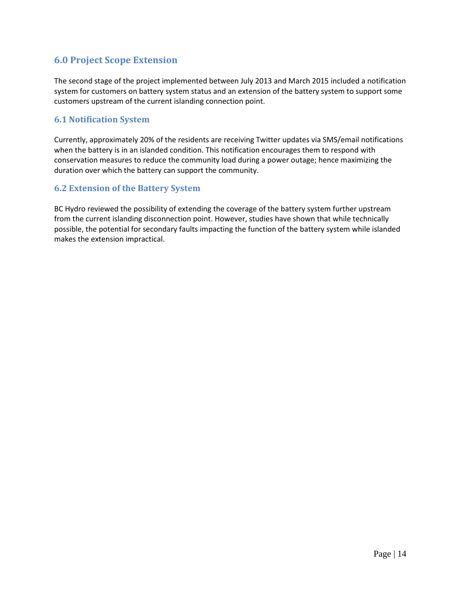## <span id="page-16-0"></span>**6.0 Project Scope Extension**

The second stage of the project implemented between July 2013 and March 2015 included a notification system for customers on battery system status and an extension of the battery system to support some customers upstream of the current islanding connection point.

## <span id="page-16-1"></span>**6.1 Notification System**

Currently, approximately 20% of the residents are receiving Twitter updates via SMS/email notifications when the battery is in an islanded condition. This notification encourages them to respond with conservation measures to reduce the community load during a power outage; hence maximizing the duration over which the battery can support the community.

## <span id="page-16-2"></span>**6.2 Extension of the Battery System**

BC Hydro reviewed the possibility of extending the coverage of the battery system further upstream from the current islanding disconnection point. However, studies have shown that while technically possible, the potential for secondary faults impacting the function of the battery system while islanded makes the extension impractical.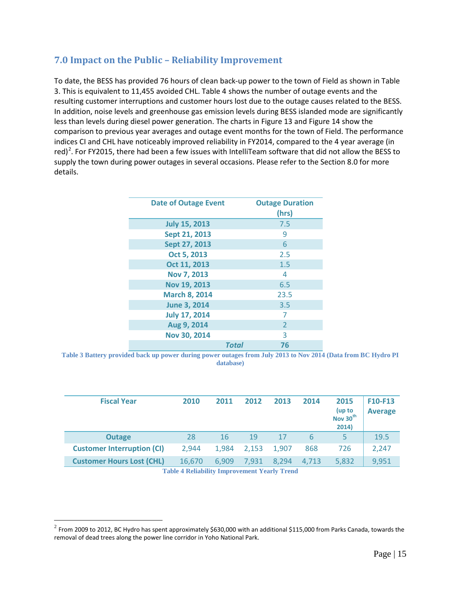## <span id="page-17-0"></span>**7.0 Impact on the Public – Reliability Improvement**

To date, the BESS has provided 76 hours of clean back-up power to the town of Field as shown in [Table](#page-17-1)  [3.](#page-17-1) This is equivalent to 11,455 avoided CHL. [Table 4](#page-17-2) shows the number of outage events and the resulting customer interruptions and customer hours lost due to the outage causes related to the BESS. In addition, noise levels and greenhouse gas emission levels during BESS islanded mode are significantly less than levels during diesel power generation. The charts in [Figure 13](#page-18-0) and [Figure 14](#page-18-1) show the comparison to previous year averages and outage event months for the town of Field. The performance indices CI and CHL have noticeably improved reliability in FY2014, compared to the 4 year average (in red)<sup>[2](#page-17-3)</sup>. For FY2015, there had been a few issues with IntelliTeam software that did not allow the BESS to supply the town during power outages in several occasions. Please refer to the Section 8.0 for more details.

| <b>Date of Outage Event</b> |              | <b>Outage Duration</b><br>(hrs) |
|-----------------------------|--------------|---------------------------------|
| <b>July 15, 2013</b>        |              | 7.5                             |
| Sept 21, 2013               |              | 9                               |
| Sept 27, 2013               |              | 6                               |
| Oct 5, 2013                 |              | 2.5                             |
| Oct 11, 2013                |              | 1.5                             |
| Nov 7, 2013                 |              | 4                               |
| Nov 19, 2013                |              | 6.5                             |
| <b>March 8, 2014</b>        |              | 23.5                            |
| <b>June 3, 2014</b>         |              | 3.5                             |
| <b>July 17, 2014</b>        |              | 7                               |
| Aug 9, 2014                 |              | $\overline{2}$                  |
| Nov 30, 2014                |              | 3                               |
|                             | <b>Total</b> | 76                              |

<span id="page-17-1"></span>**Table 3 Battery provided back up power during power outages from July 2013 to Nov 2014 (Data from BC Hydro PI database)**

| <b>Fiscal Year</b>                | 2010   | 2011  | 2012  | 2013  | 2014  | 2015<br>(up to<br>Nov 30 <sup>th</sup><br>2014) | F10-F13<br><b>Average</b> |
|-----------------------------------|--------|-------|-------|-------|-------|-------------------------------------------------|---------------------------|
| <b>Outage</b>                     | 28     | 16    | 19    | 17    | 6     | 5                                               | 19.5                      |
| <b>Customer Interruption (CI)</b> | 2,944  | 1.984 | 2.153 | 1.907 | 868   | 726                                             | 2,247                     |
| <b>Customer Hours Lost (CHL)</b>  | 16.670 | 6.909 | 7,931 | 8.294 | 4.713 | 5,832                                           | 9,951                     |

**Table 4 Reliability Improvement Yearly Trend**

<span id="page-17-3"></span><span id="page-17-2"></span> $^2$  From 2009 to 2012, BC Hydro has spent approximately \$630,000 with an additional \$115,000 from Parks Canada, towards the removal of dead trees along the power line corridor in Yoho National Park.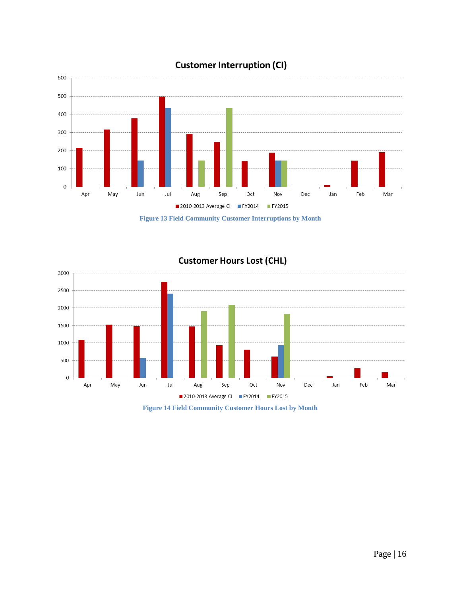

# **Customer Interruption (CI)**

**Figure 13 Field Community Customer Interruptions by Month**

<span id="page-18-0"></span>

## **Customer Hours Lost (CHL)**

<span id="page-18-1"></span>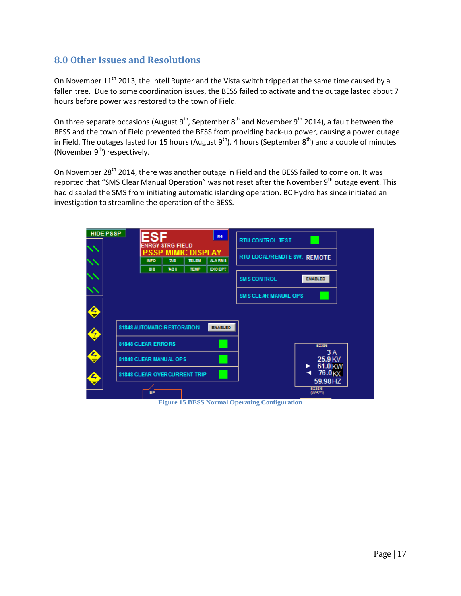## <span id="page-19-0"></span>**8.0 Other Issues and Resolutions**

On November 11<sup>th</sup> 2013, the IntelliRupter and the Vista switch tripped at the same time caused by a fallen tree. Due to some coordination issues, the BESS failed to activate and the outage lasted about 7 hours before power was restored to the town of Field.

On three separate occasions (August  $9^{th}$ , September  $8^{th}$  and November  $9^{th}$  2014), a fault between the BESS and the town of Field prevented the BESS from providing back-up power, causing a power outage in Field. The outages lasted for 15 hours (August  $9<sup>th</sup>$ ), 4 hours (September  $8<sup>th</sup>$ ) and a couple of minutes (November  $9<sup>th</sup>$ ) respectively.

On November 28<sup>th</sup> 2014, there was another outage in Field and the BESS failed to come on. It was reported that "SMS Clear Manual Operation" was not reset after the November 9<sup>th</sup> outage event. This had disabled the SMS from initiating automatic islanding operation. BC Hydro has since initiated an investigation to streamline the operation of the BESS.

| <b>RTU CONTROL TEST</b><br><b>ENRGY STRG FIELD</b><br><b>MIMIC DISPLAY</b><br>SSP<br>RTU LOCAL/REMOTE SW. REMOTE<br><b>TAB</b><br><b>TELEM</b><br>ALA RM 3<br><b>INFO</b><br><b>BO3</b><br><b>EXCEPT</b><br>313<br><b>TEMP</b><br><b>SM S CON TROL</b><br><b>ENABLED</b> |                               |
|--------------------------------------------------------------------------------------------------------------------------------------------------------------------------------------------------------------------------------------------------------------------------|-------------------------------|
|                                                                                                                                                                                                                                                                          |                               |
|                                                                                                                                                                                                                                                                          |                               |
|                                                                                                                                                                                                                                                                          |                               |
|                                                                                                                                                                                                                                                                          |                               |
| <b>SM S CLEAR MANUAL OPS</b>                                                                                                                                                                                                                                             |                               |
|                                                                                                                                                                                                                                                                          |                               |
| ♦                                                                                                                                                                                                                                                                        |                               |
| <b>81848 AUTOMATIC RESTORATION</b><br><b>ENABLED</b>                                                                                                                                                                                                                     |                               |
| ♦                                                                                                                                                                                                                                                                        |                               |
| 81848 CLEAR ERRORS                                                                                                                                                                                                                                                       | 52386<br><b>3A</b>            |
| ♦<br>81848 CLEAR MANUAL OPS                                                                                                                                                                                                                                              | 25.9 KV                       |
| ►<br>◀                                                                                                                                                                                                                                                                   | 61.0 KW<br>76.0 <sub>KX</sub> |
| 81848 CLEAR OVER CURRENT TRIP<br>€                                                                                                                                                                                                                                       | 59.98HZ                       |
| 52386<br>BP<br>(WAY1)                                                                                                                                                                                                                                                    |                               |

<span id="page-19-1"></span>**Figure 15 BESS Normal Operating Configuration**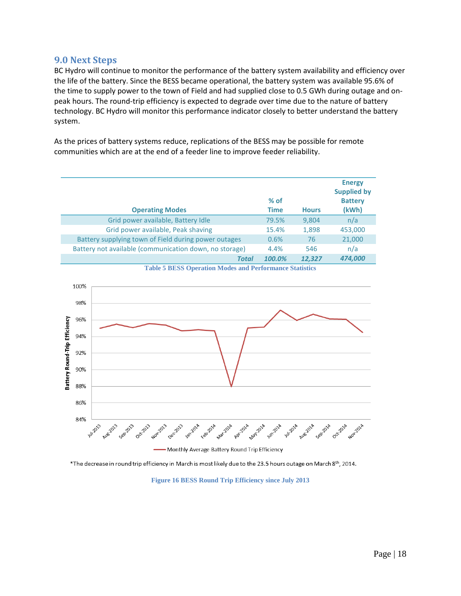#### <span id="page-20-0"></span>**9.0 Next Steps**

BC Hydro will continue to monitor the performance of the battery system availability and efficiency over the life of the battery. Since the BESS became operational, the battery system was available 95.6% of the time to supply power to the town of Field and had supplied close to 0.5 GWh during outage and onpeak hours. The round-trip efficiency is expected to degrade over time due to the nature of battery technology. BC Hydro will monitor this performance indicator closely to better understand the battery system.

As the prices of battery systems reduce, replications of the BESS may be possible for remote communities which are at the end of a feeder line to improve feeder reliability.

| <b>Operating Modes</b>                                 | $%$ of<br><b>Time</b> | <b>Hours</b> | <b>Energy</b><br><b>Supplied by</b><br><b>Battery</b><br>(kWh) |
|--------------------------------------------------------|-----------------------|--------------|----------------------------------------------------------------|
| Grid power available, Battery Idle                     | 79.5%                 | 9,804        | n/a                                                            |
| Grid power available, Peak shaving                     | 15.4%                 | 1,898        | 453,000                                                        |
| Battery supplying town of Field during power outages   | 0.6%                  | 76           | 21,000                                                         |
| Battery not available (communication down, no storage) | 4.4%                  | 546          | n/a                                                            |
| <b>Total</b>                                           | 100.0%                | 12,327       | 474,000                                                        |

**Table 5 BESS Operation Modes and Performance Statistics**

<span id="page-20-1"></span>

Monthly Average Battery Round Trip Efficiency

<span id="page-20-2"></span> $*$ The decrease in round trip efficiency in March is most likely due to the 23.5 hours outage on March 8th, 2014.

**Figure 16 BESS Round Trip Efficiency since July 2013**